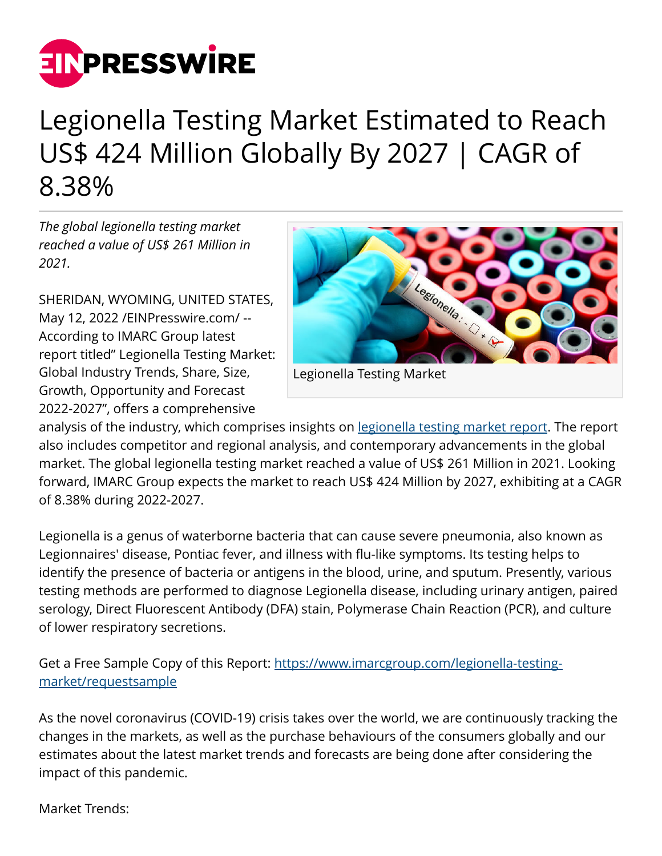

## Legionella Testing Market Estimated to Reach US\$ 424 Million Globally By 2027 | CAGR of 8.38%

*The global legionella testing market reached a value of US\$ 261 Million in 2021.*

SHERIDAN, WYOMING, UNITED STATES, May 12, 2022 [/EINPresswire.com](http://www.einpresswire.com)/ -- According to IMARC Group latest report titled" Legionella Testing Market: Global Industry Trends, Share, Size, Growth, Opportunity and Forecast 2022-2027", offers a comprehensive



Legionella Testing Market

analysis of the industry, which comprises insights on [legionella testing market report.](https://www.imarcgroup.com/legionella-testing-market) The report also includes competitor and regional analysis, and contemporary advancements in the global market. The global legionella testing market reached a value of US\$ 261 Million in 2021. Looking forward, IMARC Group expects the market to reach US\$ 424 Million by 2027, exhibiting at a CAGR of 8.38% during 2022-2027.

Legionella is a genus of waterborne bacteria that can cause severe pneumonia, also known as Legionnaires' disease, Pontiac fever, and illness with flu-like symptoms. Its testing helps to identify the presence of bacteria or antigens in the blood, urine, and sputum. Presently, various testing methods are performed to diagnose Legionella disease, including urinary antigen, paired serology, Direct Fluorescent Antibody (DFA) stain, Polymerase Chain Reaction (PCR), and culture of lower respiratory secretions.

Get a Free Sample Copy of this Report: [https://www.imarcgroup.com/legionella-testing](https://www.imarcgroup.com/legionella-testing-market/requestsample)[market/requestsample](https://www.imarcgroup.com/legionella-testing-market/requestsample)

As the novel coronavirus (COVID-19) crisis takes over the world, we are continuously tracking the changes in the markets, as well as the purchase behaviours of the consumers globally and our estimates about the latest market trends and forecasts are being done after considering the impact of this pandemic.

Market Trends: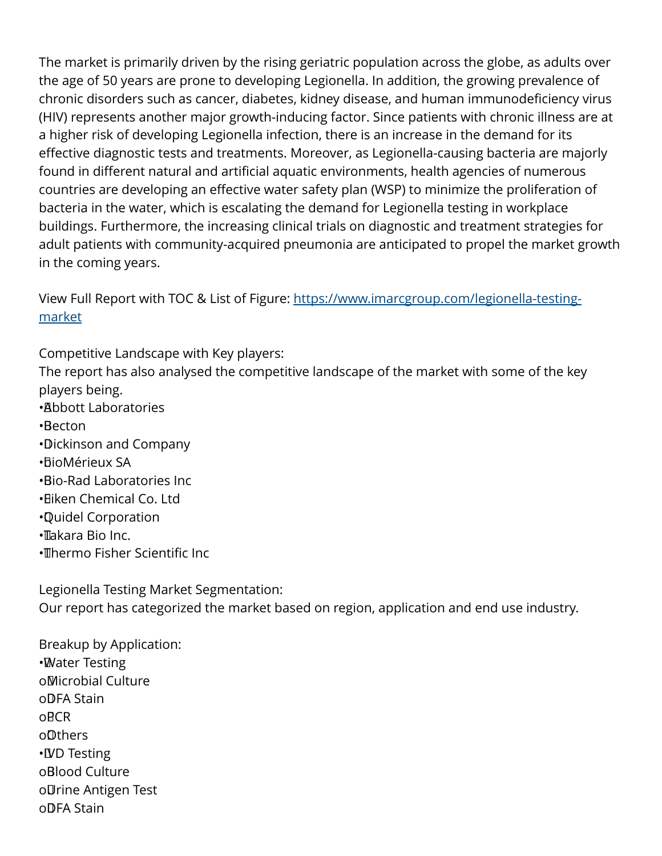The market is primarily driven by the rising geriatric population across the globe, as adults over the age of 50 years are prone to developing Legionella. In addition, the growing prevalence of chronic disorders such as cancer, diabetes, kidney disease, and human immunodeficiency virus (HIV) represents another major growth-inducing factor. Since patients with chronic illness are at a higher risk of developing Legionella infection, there is an increase in the demand for its effective diagnostic tests and treatments. Moreover, as Legionella-causing bacteria are majorly found in different natural and artificial aquatic environments, health agencies of numerous countries are developing an effective water safety plan (WSP) to minimize the proliferation of bacteria in the water, which is escalating the demand for Legionella testing in workplace buildings. Furthermore, the increasing clinical trials on diagnostic and treatment strategies for adult patients with community-acquired pneumonia are anticipated to propel the market growth in the coming years.

View Full Report with TOC & List of Figure: [https://www.imarcgroup.com/legionella-testing](https://www.imarcgroup.com/legionella-testing-market)[market](https://www.imarcgroup.com/legionella-testing-market)

Competitive Landscape with Key players:

The report has also analysed the competitive landscape of the market with some of the key players being.

- • Abbott Laboratories
- • Becton
- • Dickinson and Company
- • bioMérieux SA
- • Bio-Rad Laboratories Inc
- • Eiken Chemical Co. Ltd
- • Quidel Corporation
- • Takara Bio Inc.
- • Thermo Fisher Scientific Inc

Legionella Testing Market Segmentation: Our report has categorized the market based on region, application and end use industry.

Breakup by Application: • Water Testing o Microbial Culture o DFA Stain o PCR o Others • IVD Testing o**Blood Culture** o Urine Antigen Test o DFA Stain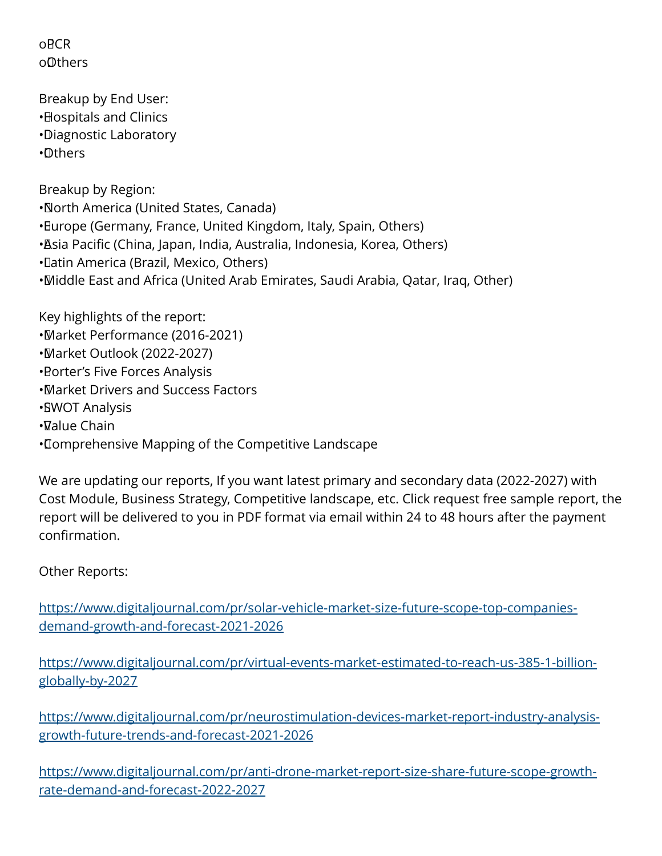o<sub>RCR</sub> o Others

Breakup by End User: • Hospitals and Clinics • Diagnostic Laboratory • Others

Breakup by Region: • North America (United States, Canada) • Europe (Germany, France, United Kingdom, Italy, Spain, Others) • Asia Pacific (China, Japan, India, Australia, Indonesia, Korea, Others) • Latin America (Brazil, Mexico, Others) • Middle East and Africa (United Arab Emirates, Saudi Arabia, Qatar, Iraq, Other)

Key highlights of the report: • Market Performance (2016-2021) • Market Outlook (2022-2027) **• Borter's Five Forces Analysis** • Market Drivers and Success Factors • SWOT Analysis • Value Chain • Comprehensive Mapping of the Competitive Landscape

We are updating our reports, If you want latest primary and secondary data (2022-2027) with Cost Module, Business Strategy, Competitive landscape, etc. Click request free sample report, the report will be delivered to you in PDF format via email within 24 to 48 hours after the payment confirmation.

Other Reports:

[https://www.digitaljournal.com/pr/solar-vehicle-market-size-future-scope-top-companies](https://www.digitaljournal.com/pr/solar-vehicle-market-size-future-scope-top-companies-demand-growth-and-forecast-2021-2026)[demand-growth-and-forecast-2021-2026](https://www.digitaljournal.com/pr/solar-vehicle-market-size-future-scope-top-companies-demand-growth-and-forecast-2021-2026)

[https://www.digitaljournal.com/pr/virtual-events-market-estimated-to-reach-us-385-1-billion](https://www.digitaljournal.com/pr/virtual-events-market-estimated-to-reach-us-385-1-billion-globally-by-2027)[globally-by-2027](https://www.digitaljournal.com/pr/virtual-events-market-estimated-to-reach-us-385-1-billion-globally-by-2027)

[https://www.digitaljournal.com/pr/neurostimulation-devices-market-report-industry-analysis](https://www.digitaljournal.com/pr/neurostimulation-devices-market-report-industry-analysis-growth-future-trends-and-forecast-2021-2026)[growth-future-trends-and-forecast-2021-2026](https://www.digitaljournal.com/pr/neurostimulation-devices-market-report-industry-analysis-growth-future-trends-and-forecast-2021-2026)

[https://www.digitaljournal.com/pr/anti-drone-market-report-size-share-future-scope-growth](https://www.digitaljournal.com/pr/anti-drone-market-report-size-share-future-scope-growth-rate-demand-and-forecast-2022-2027)[rate-demand-and-forecast-2022-2027](https://www.digitaljournal.com/pr/anti-drone-market-report-size-share-future-scope-growth-rate-demand-and-forecast-2022-2027)